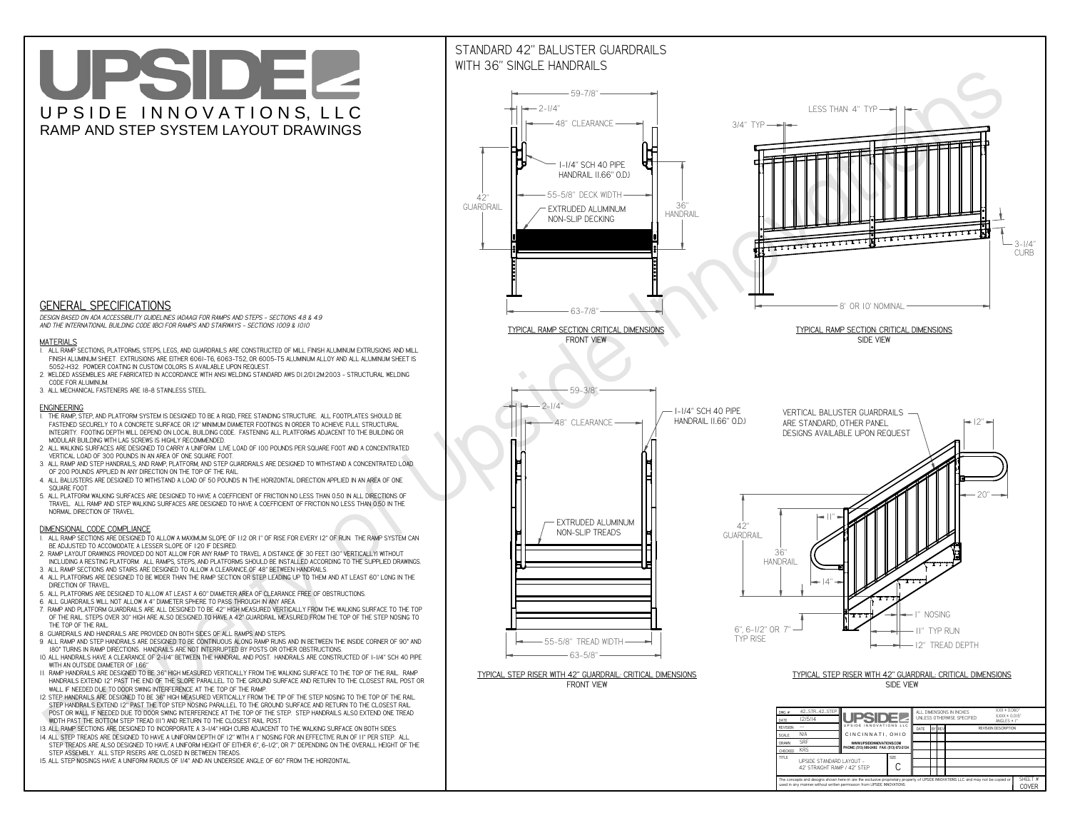**used in any manner without written permission from UPSIDE INNOVATIONS.**

# UPSIDEL UPSIDE INNOVATIONS, LLC RAMP AND STEP SYSTEM LAYOUT DRAWINGS

SHEET #**COVER**



The concepts and designs shown here-in are the exclusive proprietary property of UPSIDE INNOVATIONS LLC. and may not be copied o

**H** 

# WITH 36" SINGLE HANDRAILS



 *DESIGN BASED ON ADA ACCESSIBILITY GUIDELINES (ADAAG) FOR RAMPS AND STEPS - SECTIONS 4.8 & 4.9AND THE INTERNATIONAL BUILDING CODE (IBC) FOR RAMPS AND STAIRWAYS - SECTIONS 1009 & 1010*

### **MATERIALS**

- **1. ALL RAMP SECTIONS, PLATFORMS, STEPS, LEGS, AND GUARDRAILS ARE CONSTRUCTED OF MILL FINISH ALUMINUM EXTRUSIONS AND MILL FINISH ALUMINUM SHEET. EXTRUSIONS ARE EITHER 6061-T6, 6063-T52, OR 6005-T5 ALUMINUM ALLOY AND ALL ALUMINUM SHEET IS 5052-H32. POWDER COATING IN CUSTOM COLORS IS AVAILABLE UPON REQUEST.**
- **2. WELDED ASSEMBLIES ARE FABRICATED IN ACCORDANCE WITH ANSI WELDING STANDARD AWS D1.2/D1.2M:2003 STRUCTURAL WELDING CODE FOR ALUMINUM.**
- **3. ALL MECHANICAL FASTENERS ARE 18-8 STAINLESS STEEL.**

#### **ENGINEERING**

- **1. THE RAMP, STEP, AND PLATFORM SYSTEM IS DESIGNED TO BE A RIGID, FREE STANDING STRUCTURE. ALL FOOTPLATES SHOULD BE FASTENED SECURELY TO A CONCRETE SURFACE OR 12" MINIMUM DIAMETER FOOTINGS IN ORDER TO ACHIEVE FULL STRUCTURAL INTEGRITY. FOOTING DEPTH WILL DEPEND ON LOCAL BUILDING CODE. FASTENING ALL PLATFORMS ADJACENT TO THE BUILDING OR MODULAR BUILDING WITH LAG SCREWS IS HIGHLY RECOMMENDED.**
- **2. ALL WALKING SURFACES ARE DESIGNED TO CARRY A UNIFORM LIVE LOAD OF 100 POUNDS PER SQUARE FOOT AND A CONCENTRATED VERTICAL LOAD OF 300 POUNDS IN AN AREA OF ONE SQUARE FOOT.**
- **3. ALL RAMP AND STEP HANDRAILS, AND RAMP, PLATFORM, AND STEP GUARDRAILS ARE DESIGNED TO WITHSTAND A CONCENTRATED LOAD OF 200 POUNDS APPLIED IN ANY DIRECTION ON THE TOP OF THE RAIL.**
- **4. ALL BALUSTERS ARE DESIGNED TO WITHSTAND A LOAD OF 50 POUNDS IN THE HORIZONTAL DIRECTION APPLIED IN AN AREA OF ONE SQUARE FOOT.**
- **5. ALL PLATFORM WALKING SURFACES ARE DESIGNED TO HAVE A COEFFICIENT OF FRICTION NO LESS THAN 0.50 IN ALL DIRECTIONS OF TRAVEL. ALL RAMP AND STEP WALKING SURFACES ARE DESIGNED TO HAVE A COEFFICIENT OF FRICTION NO LESS THAN 0.50 IN THE NORMAL DIRECTION OF TRAVEL.**

### **DIMENSIONAL CODE COMPLIANCE**

- **1. ALL RAMP SECTIONS ARE DESIGNED TO ALLOW A MAXIMUM SLOPE OF 1:12 OR 1" OF RISE FOR EVERY 12" OF RUN. THE RAMP SYSTEM CAN BE ADJUSTED TO ACCOMODATE A LESSER SLOPE OF 1:20 IF DESIRED.**
- **2. RAMP LAYOUT DRAWINGS PROVIDED DO NOT ALLOW FOR ANY RAMP TO TRAVEL A DISTANCE OF 30 FEET (30" VERTICALLY) WITHOUT INCLUDING A RESTING PLATFORM. ALL RAMPS, STEPS, AND PLATFORMS SHOULD BE INSTALLED ACCORDING TO THE SUPPLIED DRAWINGS.**
- **3. ALL RAMP SECTIONS AND STAIRS ARE DESIGNED TO ALLOW A CLEARANCE OF 48" BETWEEN HANDRAILS.**
- **4. ALL PLATFORMS ARE DESIGNED TO BE WIDER THAN THE RAMP SECTION OR STEP LEADING UP TO THEM AND AT LEAST 60" LONG IN THE DIRECTION OF TRAVEL.**
- **5. ALL PLATFORMS ARE DESIGNED TO ALLOW AT LEAST A 60" DIAMETER AREA OF CLEARANCE FREE OF OBSTRUCTIONS.**
- **6. ALL GUARDRAILS WILL NOT ALLOW A 4" DIAMETER SPHERE TO PASS THROUGH IN ANY AREA.**
- **7. RAMP AND PLATFORM GUARDRAILS ARE ALL DESIGNED TO BE 42" HIGH MEASURED VERTICALLY FROM THE WALKING SURFACE TO THE TOP OF THE RAIL. STEPS OVER 30" HIGH ARE ALSO DESIGNED TO HAVE A 42" GUARDRAIL MEASURED FROM THE TOP OF THE STEP NOSING TO THE TOP OF THE RAIL.**
- **8. GUARDRAILS AND HANDRAILS ARE PROVIDED ON BOTH SIDES OF ALL RAMPS AND STEPS.**
- **9. ALL RAMP AND STEP HANDRAILS ARE DESIGNED TO BE CONTINUOUS ALONG RAMP RUNS AND IN BETWEEN THE INSIDE CORNER OF 90° AND 180° TURNS IN RAMP DIRECTIONS. HANDRAILS ARE NOT INTERRUPTED BY POSTS OR OTHER OBSTRUCTIONS.**
- **10. ALL HANDRAILS HAVE A CLEARANCE OF 2-1/4" BETWEEN THE HANDRAIL AND POST. HANDRAILS ARE CONSTRUCTED OF 1-1/4" SCH 40 PIPE WITH AN OUTSIDE DIAMETER OF 1.66"**
- **11. RAMP HANDRAILS ARE DESIGNED TO BE 36" HIGH MEASURED VERTICALLY FROM THE WALKING SURFACE TO THE TOP OF THE RAIL. RAMP HANDRAILS EXTEND 12" PAST THE END OF THE SLOPE PARALLEL TO THE GROUND SURFACE AND RETURN TO THE CLOSEST RAIL POST OR WALL IF NEEDED DUE TO DOOR SWING INTERFERENCE AT THE TOP OF THE RAMP.**
- **12. STEP HANDRAILS ARE DESIGNED TO BE 36" HIGH MEASURED VERTICALLY FROM THE TIP OF THE STEP NOSING TO THE TOP OF THE RAIL. STEP HANDRAILS EXTEND 12" PAST THE TOP STEP NOSING PARALLEL TO THE GROUND SURFACE AND RETURN TO THE CLOSEST RAIL POST OR WALL IF NEEDED DUE TO DOOR SWING INTERFERENCE AT THE TOP OF THE STEP. STEP HANDRAILS ALSO EXTEND ONE TREAD WIDTH PAST THE BOTTOM STEP TREAD (11") AND RETURN TO THE CLOSEST RAIL POST.**
- **13. ALL RAMP SECTIONS ARE DESIGNED TO INCORPORATE A 3-1/4" HIGH CURB ADJACENT TO THE WALKING SURFACE ON BOTH SIDES.**
- **14. ALL STEP TREADS ARE DESIGNED TO HAVE A UNIFORM DEPTH OF 12" WITH A 1" NOSING FOR AN EFFECTIVE RUN OF 11" PER STEP. ALL**
- **STEP TREADS ARE ALSO DESIGNED TO HAVE A UNIFORM HEIGHT OF EITHER 6", 6-1/2", OR 7" DEPENDING ON THE OVERALL HEIGHT OF THE STEP ASSEMBLY. ALL STEP RISERS ARE CLOSED IN BETWEEN TREADS.**
- **15. ALL STEP NOSINGS HAVE A UNIFORM RADIUS OF 1/4" AND AN UNDERSIDE ANGLE OF 60° FROM THE HORIZONTAL.**